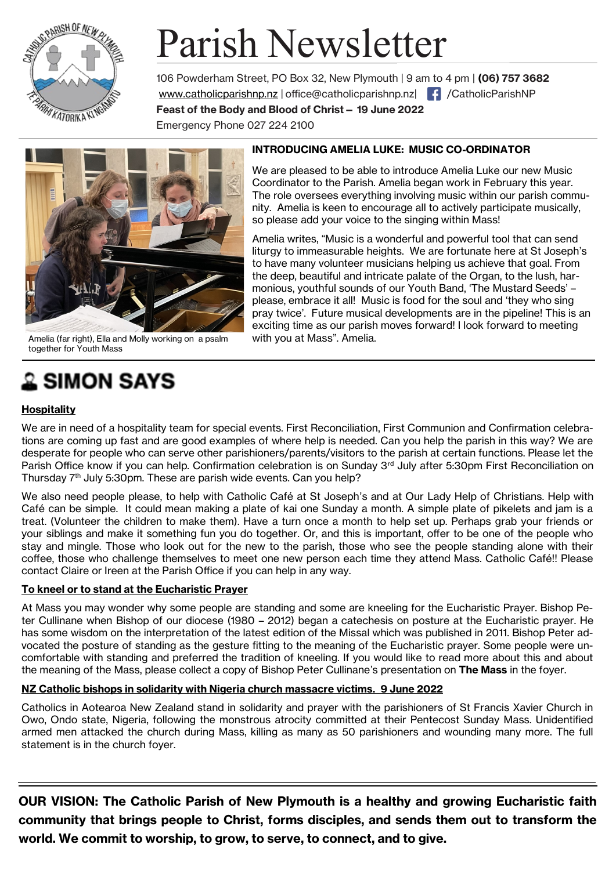

# Parish Newsletter

106 Powderham Street, PO Box 32, New Plymouth | 9 am to 4 pm | **(06) 757 3682**  www.catholicparishnp.nz | [office@catholicparishnp.nz|](mailto:office@catholicparishnp.nz) | { | /CatholicParishNP **Feast of the Body and Blood of Christ— 19 June 2022** 

Emergency Phone 027 224 2100



Amelia (far right), Ella and Molly working on a psalm with you at Mass". Amelia. together for Youth Mass

## **SIMON SAYS**

#### **Hospitality**

#### **INTRODUCING AMELIA LUKE: MUSIC CO-ORDINATOR**

We are pleased to be able to introduce Amelia Luke our new Music Coordinator to the Parish. Amelia began work in February this year. The role oversees everything involving music within our parish community. Amelia is keen to encourage all to actively participate musically, so please add your voice to the singing within Mass!

Amelia writes, "Music is a wonderful and powerful tool that can send liturgy to immeasurable heights. We are fortunate here at St Joseph's to have many volunteer musicians helping us achieve that goal. From the deep, beautiful and intricate palate of the Organ, to the lush, harmonious, youthful sounds of our Youth Band, 'The Mustard Seeds' – please, embrace it all! Music is food for the soul and 'they who sing pray twice'. Future musical developments are in the pipeline! This is an exciting time as our parish moves forward! I look forward to meeting

We are in need of a hospitality team for special events. First Reconciliation, First Communion and Confirmation celebrations are coming up fast and are good examples of where help is needed. Can you help the parish in this way? We are desperate for people who can serve other parishioners/parents/visitors to the parish at certain functions. Please let the Parish Office know if you can help. Confirmation celebration is on Sunday 3rd July after 5:30pm First Reconciliation on Thursday 7<sup>th</sup> July 5:30pm. These are parish wide events. Can you help?

We also need people please, to help with Catholic Café at St Joseph's and at Our Lady Help of Christians. Help with Café can be simple. It could mean making a plate of kai one Sunday a month. A simple plate of pikelets and jam is a treat. (Volunteer the children to make them). Have a turn once a month to help set up. Perhaps grab your friends or your siblings and make it something fun you do together. Or, and this is important, offer to be one of the people who stay and mingle. Those who look out for the new to the parish, those who see the people standing alone with their coffee, those who challenge themselves to meet one new person each time they attend Mass. Catholic Café!! Please contact Claire or Ireen at the Parish Office if you can help in any way.

#### **To kneel or to stand at the Eucharistic Prayer**

At Mass you may wonder why some people are standing and some are kneeling for the Eucharistic Prayer. Bishop Peter Cullinane when Bishop of our diocese (1980 – 2012) began a catechesis on posture at the Eucharistic prayer. He has some wisdom on the interpretation of the latest edition of the Missal which was published in 2011. Bishop Peter advocated the posture of standing as the gesture fitting to the meaning of the Eucharistic prayer. Some people were uncomfortable with standing and preferred the tradition of kneeling. If you would like to read more about this and about the meaning of the Mass, please collect a copy of Bishop Peter Cullinane's presentation on **The Mass** in the foyer.

#### **NZ Catholic bishops in solidarity with Nigeria church massacre victims. 9 June 2022**

Catholics in Aotearoa New Zealand stand in solidarity and prayer with the parishioners of St Francis Xavier Church in Owo, Ondo state, Nigeria, following the monstrous atrocity committed at their Pentecost Sunday Mass. Unidentified armed men attacked the church during Mass, killing as many as 50 parishioners and wounding many more. The full statement is in the church foyer.

**OUR VISION: The Catholic Parish of New Plymouth is a healthy and growing Eucharistic faith community that brings people to Christ, forms disciples, and sends them out to transform the world. We commit to worship, to grow, to serve, to connect, and to give.**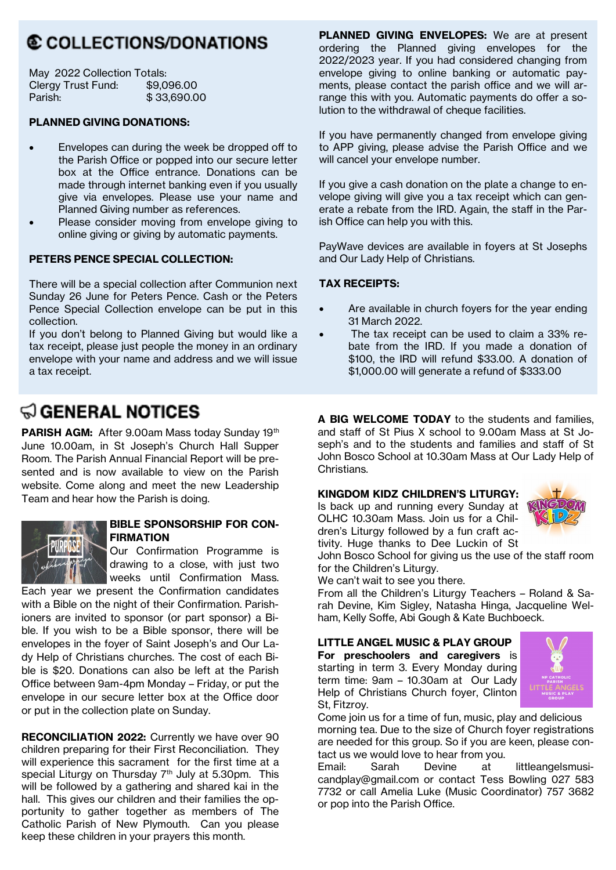## **© COLLECTIONS/DONATIONS**

| May 2022 Collection Totals: |             |
|-----------------------------|-------------|
| Clergy Trust Fund:          | \$9,096.00  |
| Parish:                     | \$33,690.00 |

#### **PLANNED GIVING DONATIONS:**

- Envelopes can during the week be dropped off to the Parish Office or popped into our secure letter box at the Office entrance. Donations can be made through internet banking even if you usually give via envelopes. Please use your name and Planned Giving number as references.
- Please consider moving from envelope giving to online giving or giving by automatic payments.

#### **PETERS PENCE SPECIAL COLLECTION:**

There will be a special collection after Communion next Sunday 26 June for Peters Pence. Cash or the Peters Pence Special Collection envelope can be put in this collection.

If you don't belong to Planned Giving but would like a tax receipt, please just people the money in an ordinary envelope with your name and address and we will issue a tax receipt.

## $\textcircled{a}$  general notices

PARISH AGM: After 9.00am Mass today Sunday 19th June 10.00am, in St Joseph's Church Hall Supper Room. The Parish Annual Financial Report will be presented and is now available to view on the Parish website. Come along and meet the new Leadership Team and hear how the Parish is doing.



#### **BIBLE SPONSORSHIP FOR CON-FIRMATION**

Our Confirmation Programme is drawing to a close, with just two weeks until Confirmation Mass.

Each year we present the Confirmation candidates with a Bible on the night of their Confirmation. Parishioners are invited to sponsor (or part sponsor) a Bible. If you wish to be a Bible sponsor, there will be envelopes in the foyer of Saint Joseph's and Our Lady Help of Christians churches. The cost of each Bible is \$20. Donations can also be left at the Parish Office between 9am-4pm Monday – Friday, or put the envelope in our secure letter box at the Office door or put in the collection plate on Sunday.

**RECONCILIATION 2022:** Currently we have over 90 children preparing for their First Reconciliation. They will experience this sacrament for the first time at a special Liturgy on Thursday 7<sup>th</sup> July at 5.30pm. This will be followed by a gathering and shared kai in the hall. This gives our children and their families the opportunity to gather together as members of The Catholic Parish of New Plymouth. Can you please keep these children in your prayers this month.

**PLANNED GIVING ENVELOPES:** We are at present ordering the Planned giving envelopes for the 2022/2023 year. If you had considered changing from envelope giving to online banking or automatic payments, please contact the parish office and we will arrange this with you. Automatic payments do offer a solution to the withdrawal of cheque facilities.

If you have permanently changed from envelope giving to APP giving, please advise the Parish Office and we will cancel your envelope number.

If you give a cash donation on the plate a change to envelope giving will give you a tax receipt which can generate a rebate from the IRD. Again, the staff in the Parish Office can help you with this.

PayWave devices are available in foyers at St Josephs and Our Lady Help of Christians.

#### **TAX RECEIPTS:**

- Are available in church foyers for the year ending 31 March 2022.
- The tax receipt can be used to claim a 33% rebate from the IRD. If you made a donation of \$100, the IRD will refund \$33.00. A donation of \$1,000.00 will generate a refund of \$333.00

**A BIG WELCOME TODAY** to the students and families, and staff of St Pius X school to 9.00am Mass at St Joseph's and to the students and families and staff of St John Bosco School at 10.30am Mass at Our Lady Help of Christians.

#### **KINGDOM KIDZ CHILDREN'S LITURGY:**

Is back up and running every Sunday at OLHC 10.30am Mass. Join us for a Children's Liturgy followed by a fun craft activity. Huge thanks to Dee Luckin of St



John Bosco School for giving us the use of the staff room for the Children's Liturgy.

We can't wait to see you there.

From all the Children's Liturgy Teachers – Roland & Sarah Devine, Kim Sigley, Natasha Hinga, Jacqueline Welham, Kelly Soffe, Abi Gough & Kate Buchboeck.

#### **LITTLE ANGEL MUSIC & PLAY GROUP**

**For preschoolers and caregivers** is starting in term 3. Every Monday during term time: 9am – 10.30am at Our Lady Help of Christians Church foyer, Clinton St, Fitzroy.



Come join us for a time of fun, music, play and delicious morning tea. Due to the size of Church foyer registrations are needed for this group. So if you are keen, please contact us we would love to hear from you.

Email: Sarah Devine at littleangelsmusicandplay@gmail.com or contact Tess Bowling 027 583 7732 or call Amelia Luke (Music Coordinator) 757 3682 or pop into the Parish Office.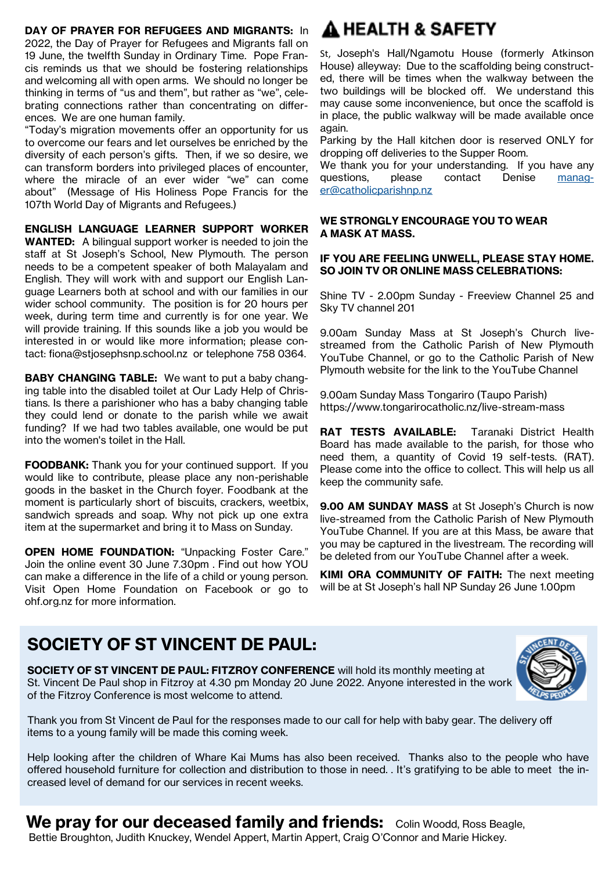#### **DAY OF PRAYER FOR REFUGEES AND MIGRANTS:** In

2022, the Day of Prayer for Refugees and Migrants fall on 19 June, the twelfth Sunday in Ordinary Time. Pope Francis reminds us that we should be fostering relationships and welcoming all with open arms. We should no longer be thinking in terms of "us and them", but rather as "we", celebrating connections rather than concentrating on differences. We are one human family.

"Today's migration movements offer an opportunity for us to overcome our fears and let ourselves be enriched by the diversity of each person's gifts. Then, if we so desire, we can transform borders into privileged places of encounter, where the miracle of an ever wider "we" can come about" (Message of His Holiness Pope Francis for the 107th World Day of Migrants and Refugees.)

**ENGLISH LANGUAGE LEARNER SUPPORT WORKER** 

**WANTED:** A bilingual support worker is needed to join the staff at St Joseph's School, New Plymouth. The person needs to be a competent speaker of both Malayalam and English. They will work with and support our English Language Learners both at school and with our families in our wider school community. The position is for 20 hours per week, during term time and currently is for one year. We will provide training. If this sounds like a job you would be interested in or would like more information; please contact: fiona@stjosephsnp.school.nz or telephone 758 0364.

**BABY CHANGING TABLE:** We want to put a baby changing table into the disabled toilet at Our Lady Help of Christians. Is there a parishioner who has a baby changing table they could lend or donate to the parish while we await funding? If we had two tables available, one would be put into the women's toilet in the Hall.

**FOODBANK:** Thank you for your continued support. If you would like to contribute, please place any non-perishable goods in the basket in the Church foyer. Foodbank at the moment is particularly short of biscuits, crackers, weetbix, sandwich spreads and soap. Why not pick up one extra item at the supermarket and bring it to Mass on Sunday.

**OPEN HOME FOUNDATION: "Unpacking Foster Care."** Join the online event 30 June 7.30pm . Find out how YOU can make a difference in the life of a child or young person. Visit Open Home Foundation on Facebook or go to ohf.org.nz for more information.

## A HEALTH & SAFETY

St, Joseph's Hall/Ngamotu House (formerly Atkinson House) alleyway: Due to the scaffolding being constructed, there will be times when the walkway between the two buildings will be blocked off. We understand this may cause some inconvenience, but once the scaffold is in place, the public walkway will be made available once again.

Parking by the Hall kitchen door is reserved ONLY for dropping off deliveries to the Supper Room.

We thank you for your understanding. If you have any questions, please contact Denise [manag](mailto:manager@catholicparishnp.nz)[er@catholicparishnp.nz](mailto:manager@catholicparishnp.nz)

#### **WE STRONGLY ENCOURAGE YOU TO WEAR A MASK AT MASS.**

#### **IF YOU ARE FEELING UNWELL, PLEASE STAY HOME. SO JOIN TV OR ONLINE MASS CELEBRATIONS:**

Shine TV - 2.00pm Sunday - Freeview Channel 25 and Sky TV channel 201

9.00am Sunday Mass at St Joseph's Church livestreamed from the Catholic Parish of New Plymouth YouTube Channel, or go to the Catholic Parish of New Plymouth website for the link to the YouTube Channel

9.00am Sunday Mass Tongariro (Taupo Parish) https://www.tongarirocatholic.nz/live-stream-mass

**RAT TESTS AVAILABLE:** Taranaki District Health Board has made available to the parish, for those who need them, a quantity of Covid 19 self-tests. (RAT). Please come into the office to collect. This will help us all keep the community safe.

**9.00 AM SUNDAY MASS** at St Joseph's Church is now live-streamed from the Catholic Parish of New Plymouth YouTube Channel. If you are at this Mass, be aware that you may be captured in the livestream. The recording will be deleted from our YouTube Channel after a week.

**KIMI ORA COMMUNITY OF FAITH:** The next meeting will be at St Joseph's hall NP Sunday 26 June 1.00pm

## **SOCIETY OF ST VINCENT DE PAUL:**

**SOCIETY OF ST VINCENT DE PAUL: FITZROY CONFERENCE** will hold its monthly meeting at St. Vincent De Paul shop in Fitzroy at 4.30 pm Monday 20 June 2022. Anyone interested in the work of the Fitzroy Conference is most welcome to attend.



Thank you from St Vincent de Paul for the responses made to our call for help with baby gear. The delivery off items to a young family will be made this coming week.

Help looking after the children of Whare Kai Mums has also been received. Thanks also to the people who have offered household furniture for collection and distribution to those in need. . It's gratifying to be able to meet the increased level of demand for our services in recent weeks.

**We pray for our deceased family and friends:** Colin Woodd, Ross Beagle, Bettie Broughton, Judith Knuckey, Wendel Appert, Martin Appert, Craig O'Connor and Marie Hickey.